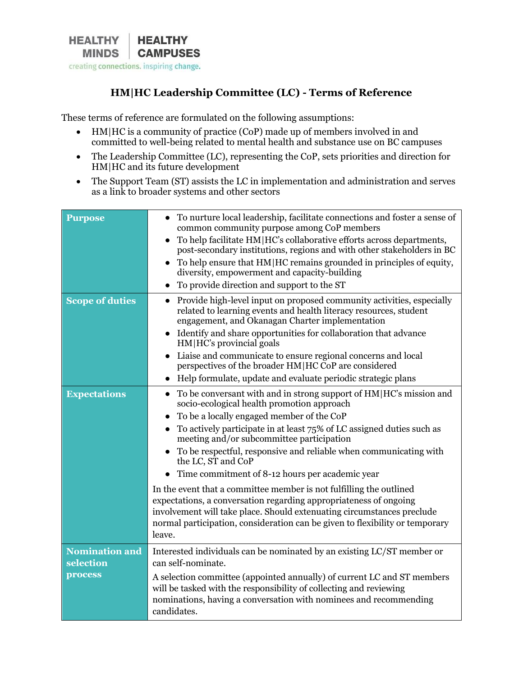

## **HM|HC Leadership Committee (LC) - Terms of Reference**

These terms of reference are formulated on the following assumptions:

- HM|HC is a community of practice (CoP) made up of members involved in and committed to well-being related to mental health and substance use on BC campuses
- The Leadership Committee (LC), representing the CoP, sets priorities and direction for HM|HC and its future development
- The Support Team (ST) assists the LC in implementation and administration and serves as a link to broader systems and other sectors

| <b>Purpose</b>                                | To nurture local leadership, facilitate connections and foster a sense of<br>$\bullet$<br>common community purpose among CoP members<br>To help facilitate HM   HC's collaborative efforts across departments,<br>post-secondary institutions, regions and with other stakeholders in BC<br>To help ensure that HM HC remains grounded in principles of equity,<br>diversity, empowerment and capacity-building<br>To provide direction and support to the ST                                                                                                                                                                                                                                                                                                                            |  |
|-----------------------------------------------|------------------------------------------------------------------------------------------------------------------------------------------------------------------------------------------------------------------------------------------------------------------------------------------------------------------------------------------------------------------------------------------------------------------------------------------------------------------------------------------------------------------------------------------------------------------------------------------------------------------------------------------------------------------------------------------------------------------------------------------------------------------------------------------|--|
| <b>Scope of duties</b>                        | • Provide high-level input on proposed community activities, especially<br>related to learning events and health literacy resources, student<br>engagement, and Okanagan Charter implementation<br>• Identify and share opportunities for collaboration that advance<br>HM   HC's provincial goals<br>Liaise and communicate to ensure regional concerns and local<br>$\bullet$<br>perspectives of the broader HM HC CoP are considered<br>Help formulate, update and evaluate periodic strategic plans<br>$\bullet$                                                                                                                                                                                                                                                                     |  |
| <b>Expectations</b>                           | To be conversant with and in strong support of HM HC's mission and<br>$\bullet$<br>socio-ecological health promotion approach<br>To be a locally engaged member of the CoP<br>$\bullet$<br>To actively participate in at least 75% of LC assigned duties such as<br>$\bullet$<br>meeting and/or subcommittee participation<br>To be respectful, responsive and reliable when communicating with<br>the LC, ST and CoP<br>Time commitment of 8-12 hours per academic year<br>In the event that a committee member is not fulfilling the outlined<br>expectations, a conversation regarding appropriateness of ongoing<br>involvement will take place. Should extenuating circumstances preclude<br>normal participation, consideration can be given to flexibility or temporary<br>leave. |  |
| <b>Nomination and</b><br>selection<br>process | Interested individuals can be nominated by an existing LC/ST member or<br>can self-nominate.<br>A selection committee (appointed annually) of current LC and ST members<br>will be tasked with the responsibility of collecting and reviewing<br>nominations, having a conversation with nominees and recommending<br>candidates.                                                                                                                                                                                                                                                                                                                                                                                                                                                        |  |